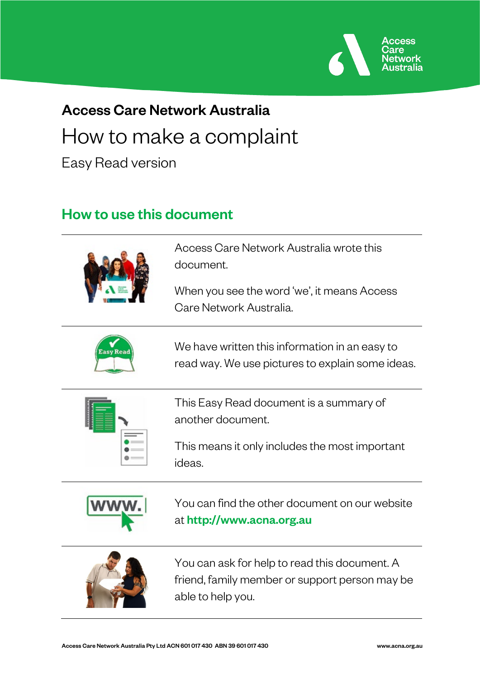

# Access Care Network Australia How to make a complaint

Easy Read version

## How to use this document



Access Care Network Australia wrote this document.

When you see the word 'we', it means Access Care Network Australia.



We have written this information in an easy to read way. We use pictures to explain some ideas.



This Easy Read document is a summary of another document.

This means it only includes the most important ideas.



You can find the other document on our website at [http://www.acna.org.au](http://www.acna.org.au/)



You can ask for help to read this document. A friend, family member or support person may be able to help you.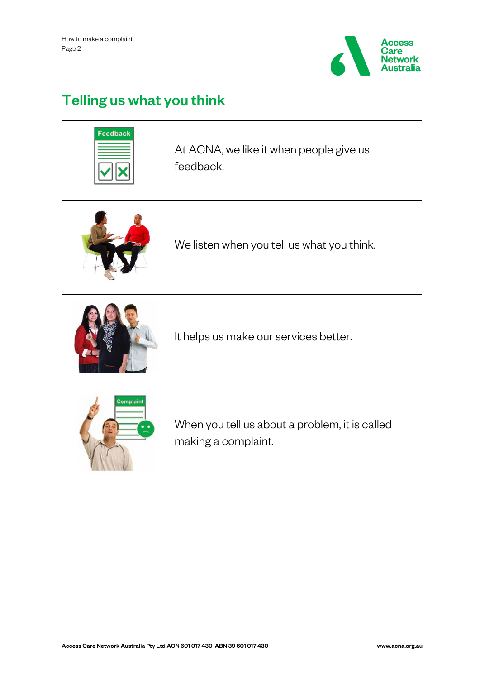

# Telling us what you think



At ACNA, we like it when people give us feedback.



We listen when you tell us what you think.



It helps us make our services better.



When you tell us about a problem, it is called making a complaint.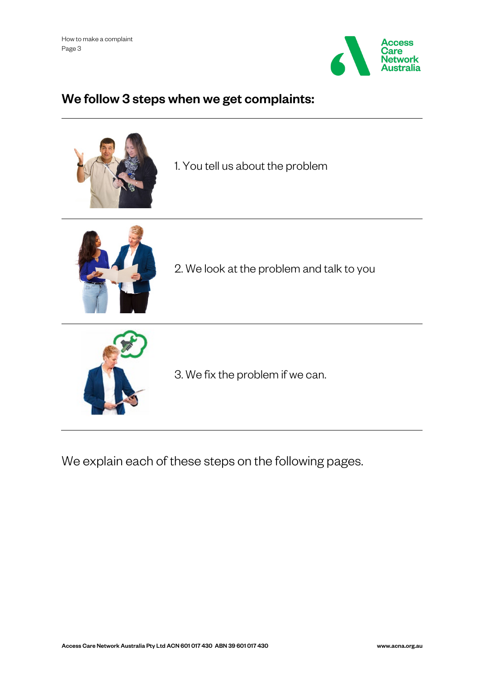

## We follow 3 steps when we get complaints:



1. You tell us about the problem



2. We look at the problem and talk to you



3. We fix the problem if we can.

We explain each of these steps on the following pages.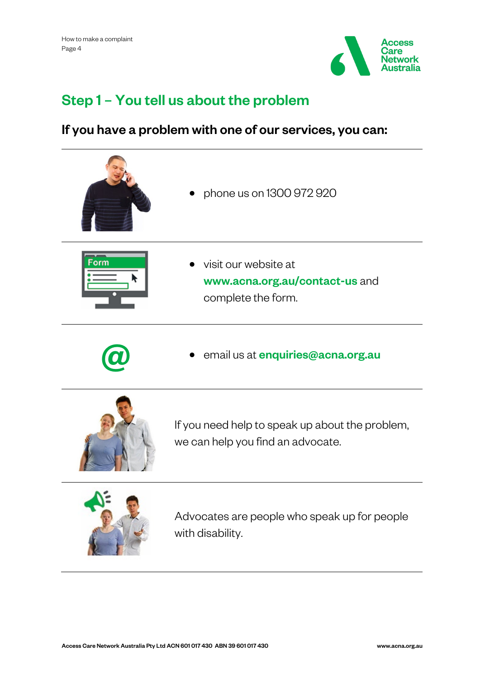

# Step 1 – You tell us about the problem

### If you have a problem with one of our services, you can:



• phone us on 1300 972 920



• visit our website at www.acna.org.au/contact-us and complete the form.



email us at [enquiries@acna.org.au](mailto:enquiries@acna.org.au)



If you need help to speak up about the problem, we can help you find an advocate.



Advocates are people who speak up for people with disability.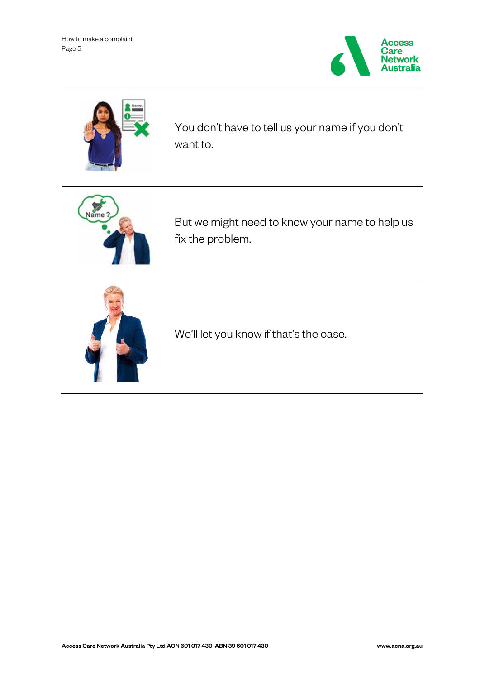How to make a complaint Page 5





You don't have to tell us your name if you don't want to.



But we might need to know your name to help us fix the problem.



We'll let you know if that's the case.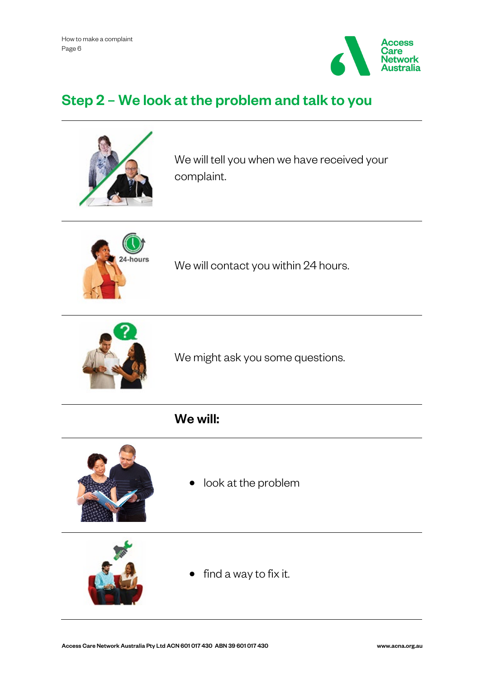

# Step 2 – We look at the problem and talk to you



We will tell you when we have received your complaint.



We will contact you within 24 hours.



We might ask you some questions.

### We will:



look at the problem



find a way to fix it.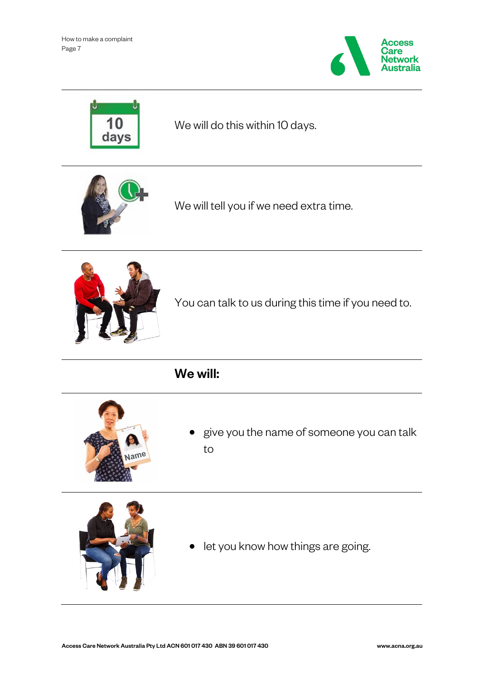How to make a complaint Page 7





We will do this within 10 days.



We will tell you if we need extra time.



You can talk to us during this time if you need to.

We will:



• give you the name of someone you can talk to



• let you know how things are going.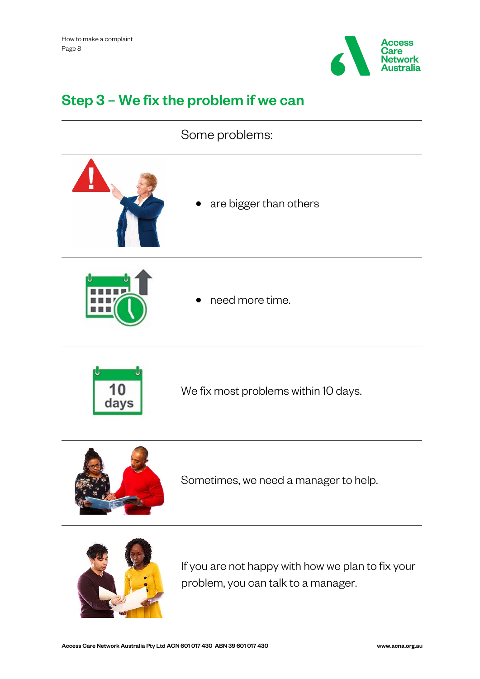

## Step 3 – We fix the problem if we can

#### Some problems:



are bigger than others



• need more time.



We fix most problems within 10 days.



Sometimes, we need a manager to help.



If you are not happy with how we plan to fix your problem, you can talk to a manager.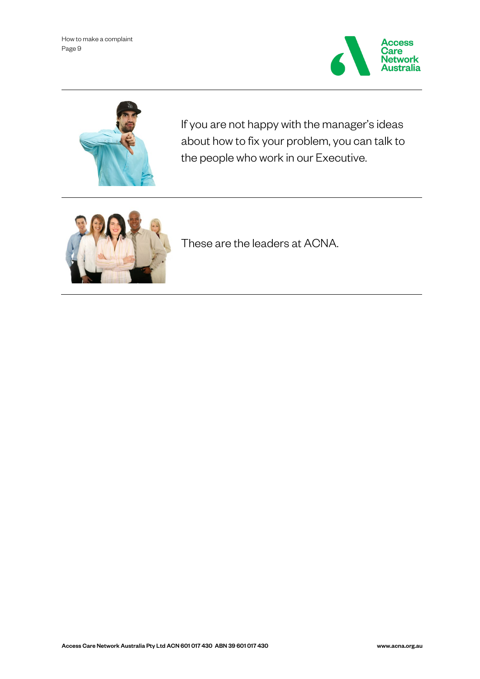



If you are not happy with the manager's ideas about how to fix your problem, you can talk to the people who work in our Executive.



These are the leaders at ACNA.